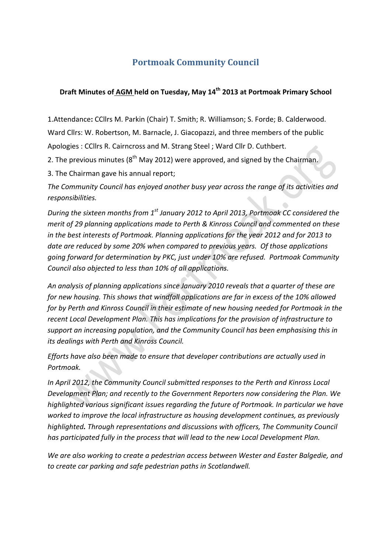## **Portmoak Community Council**

## **Draft Minutes of AGM held on Tuesday, May 14th 2013 at Portmoak Primary School**

1.Attendance**:** CCllrs M. Parkin (Chair) T. Smith; R. Williamson; S. Forde; B. Calderwood. Ward Cllrs: W. Robertson, M. Barnacle, J. Giacopazzi, and three members of the public Apologies : CCllrs R. Cairncross and M. Strang Steel ; Ward Cllr D. Cuthbert.

2. The previous minutes ( $8<sup>th</sup>$  May 2012) were approved, and signed by the Chairman.

3. The Chairman gave his annual report;

The Community Council has enjoyed another busy year across the range of its activities and *responsibilities.*

*During the sixteen months from* 1<sup>st</sup> January 2012 to April 2013, Portmoak CC considered the *merit* of 29 planning applications made to Perth & Kinross Council and commented on these *in* the best interests of Portmoak. Planning applications for the year 2012 and for 2013 to date are reduced by some 20% when compared to previous years. Of those applications going forward for determination by PKC, just under 10% are refused. Portmoak Community *Council also objected to less than 10% of all applications.*

An analysis of planning applications since January 2010 reveals that a quarter of these are for new housing. This shows that windfall applications are far in excess of the 10% allowed *for by Perth and Kinross Council in their estimate of new housing needed for Portmoak in the* recent Local Development Plan. This has implications for the provision of infrastructure to support an increasing population, and the Community Council has been emphasising this in *its dealings with Perth and Kinross Council.* 

*Efforts have also been made to ensure that developer contributions are actually used in Portmoak.*

In April 2012, the Community Council submitted responses to the Perth and Kinross Local Development Plan; and recently to the Government Reporters now considering the Plan. We highlighted various significant issues regarding the future of Portmoak. In particular we have worked to improve the local infrastructure as housing development continues, as previously *highlighted. Through representations and discussions with officers, The Community Council*  has participated fully in the process that will lead to the new Local Development Plan.

We are also working to create a pedestrian access between Wester and Easter Balgedie, and *to* create car parking and safe pedestrian paths in Scotlandwell.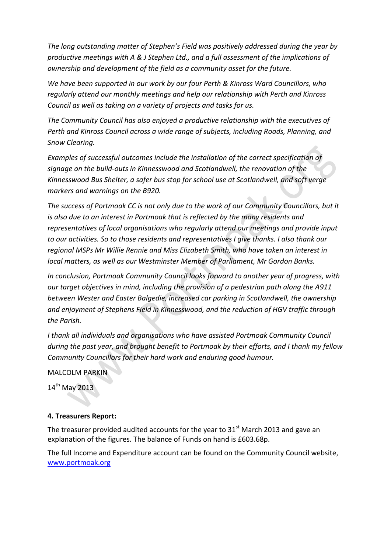The long outstanding matter of Stephen's Field was positively addressed during the year by productive meetings with A & J Stephen Ltd., and a full assessment of the implications of *ownership* and development of the field as a community asset for the future.

We have been supported in our work by our four Perth & Kinross Ward Councillors, who regularly attend our monthly meetings and help our relationship with Perth and Kinross *Council as well as taking on a variety of projects and tasks for us.* 

The Community Council has also enjoyed a productive relationship with the executives of Perth and Kinross Council across a wide range of subjects, including Roads, Planning, and *Snow Clearing.* 

Examples of successful outcomes include the installation of the correct specification of signage on the build-outs in Kinnesswood and Scotlandwell, the renovation of the Kinnesswood Bus Shelter, a safer bus stop for school use at Scotlandwell, and soft verge *markers and warnings on the B920.* 

The success of Portmoak CC is not only due to the work of our Community Councillors, but it *is* also due to an interest in Portmoak that is reflected by the many residents and representatives of local organisations who regularly attend our meetings and provide input to our activities. So to those residents and representatives I give thanks. I also thank our regional MSPs Mr Willie Rennie and Miss Elizabeth Smith, who have taken an interest in *local* matters, as well as our Westminster Member of Parliament, Mr Gordon Banks.

In conclusion, Portmoak Community Council looks forward to another year of progress, with *our* target objectives in mind, including the provision of a pedestrian path along the A911 between Wester and Easter Balgedie, increased car parking in Scotlandwell, the ownership and enjoyment of Stephens Field in Kinnesswood, and the reduction of HGV traffic through *the Parish.*

I thank all individuals and organisations who have assisted Portmoak Community Council *during* the past year, and brought benefit to Portmoak by their efforts, and I thank my fellow Community Councillors for their hard work and enduring good humour.

MALCOLM PARKIN

 $14<sup>th</sup>$  May 2013

## **4. Treasurers Report:**

The treasurer provided audited accounts for the year to  $31<sup>st</sup>$  March 2013 and gave an explanation of the figures. The balance of Funds on hand is £603.68p.

The full Income and Expenditure account can be found on the Community Council website, www.portmoak.org